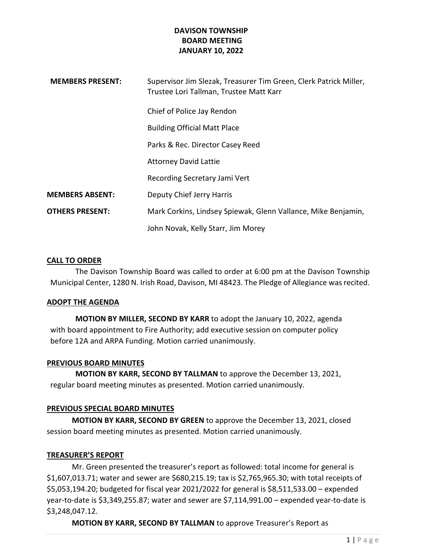| <b>MEMBERS PRESENT:</b> | Supervisor Jim Slezak, Treasurer Tim Green, Clerk Patrick Miller,<br>Trustee Lori Tallman, Trustee Matt Karr |
|-------------------------|--------------------------------------------------------------------------------------------------------------|
|                         | Chief of Police Jay Rendon                                                                                   |
|                         | <b>Building Official Matt Place</b>                                                                          |
|                         | Parks & Rec. Director Casey Reed                                                                             |
|                         | <b>Attorney David Lattie</b>                                                                                 |
|                         | Recording Secretary Jami Vert                                                                                |
| <b>MEMBERS ABSENT:</b>  | Deputy Chief Jerry Harris                                                                                    |
| <b>OTHERS PRESENT:</b>  | Mark Corkins, Lindsey Spiewak, Glenn Vallance, Mike Benjamin,                                                |
|                         | John Novak, Kelly Starr, Jim Morey                                                                           |

### CALL TO ORDER

The Davison Township Board was called to order at 6:00 pm at the Davison Township Municipal Center, 1280 N. Irish Road, Davison, MI 48423. The Pledge of Allegiance was recited.

## ADOPT THE AGENDA

MOTION BY MILLER, SECOND BY KARR to adopt the January 10, 2022, agenda with board appointment to Fire Authority; add executive session on computer policy before 12A and ARPA Funding. Motion carried unanimously.

## PREVIOUS BOARD MINUTES

MOTION BY KARR, SECOND BY TALLMAN to approve the December 13, 2021, regular board meeting minutes as presented. Motion carried unanimously.

## PREVIOUS SPECIAL BOARD MINUTES

MOTION BY KARR, SECOND BY GREEN to approve the December 13, 2021, closed session board meeting minutes as presented. Motion carried unanimously.

## TREASURER'S REPORT

 Mr. Green presented the treasurer's report as followed: total income for general is \$1,607,013.71; water and sewer are \$680,215.19; tax is \$2,765,965.30; with total receipts of \$5,053,194.20; budgeted for fiscal year 2021/2022 for general is \$8,511,533.00 – expended year-to-date is \$3,349,255.87; water and sewer are \$7,114,991.00 – expended year-to-date is \$3,248,047.12.

MOTION BY KARR, SECOND BY TALLMAN to approve Treasurer's Report as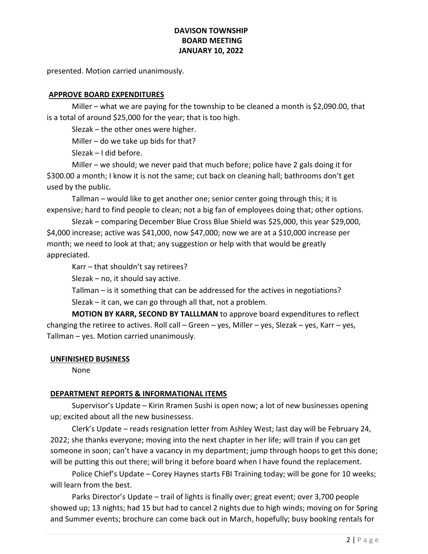presented. Motion carried unanimously.

## APPROVE BOARD EXPENDITURES

 Miller – what we are paying for the township to be cleaned a month is \$2,090.00, that is a total of around \$25,000 for the year; that is too high.

Slezak – the other ones were higher.

Miller – do we take up bids for that?

Slezak – I did before.

 Miller – we should; we never paid that much before; police have 2 gals doing it for \$300.00 a month; I know it is not the same; cut back on cleaning hall; bathrooms don't get used by the public.

 Tallman – would like to get another one; senior center going through this; it is expensive; hard to find people to clean; not a big fan of employees doing that; other options.

 Slezak – comparing December Blue Cross Blue Shield was \$25,000, this year \$29,000, \$4,000 increase; active was \$41,000, now \$47,000; now we are at a \$10,000 increase per month; we need to look at that; any suggestion or help with that would be greatly appreciated.

Karr – that shouldn't say retirees?

Slezak – no, it should say active.

 Tallman – is it something that can be addressed for the actives in negotiations? Slezak – it can, we can go through all that, not a problem.

MOTION BY KARR, SECOND BY TALLLMAN to approve board expenditures to reflect changing the retiree to actives. Roll call – Green – yes, Miller – yes, Slezak – yes, Karr – yes, Tallman – yes. Motion carried unanimously.

## UNFINISHED BUSINESS

None

# DEPARTMENT REPORTS & INFORMATIONAL ITEMS

 Supervisor's Update – Kirin Rramen Sushi is open now; a lot of new businesses opening up; excited about all the new businessess.

 Clerk's Update – reads resignation letter from Ashley West; last day will be February 24, 2022; she thanks everyone; moving into the next chapter in her life; will train if you can get someone in soon; can't have a vacancy in my department; jump through hoops to get this done; will be putting this out there; will bring it before board when I have found the replacement.

 Police Chief's Update – Corey Haynes starts FBI Training today; will be gone for 10 weeks; will learn from the best.

 Parks Director's Update – trail of lights is finally over; great event; over 3,700 people showed up; 13 nights; had 15 but had to cancel 2 nights due to high winds; moving on for Spring and Summer events; brochure can come back out in March, hopefully; busy booking rentals for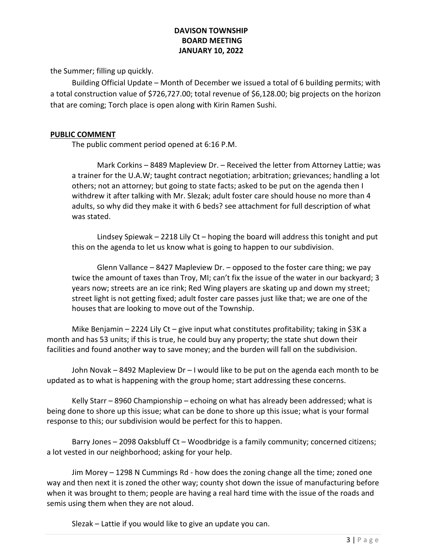the Summer; filling up quickly.

 Building Official Update – Month of December we issued a total of 6 building permits; with a total construction value of \$726,727.00; total revenue of \$6,128.00; big projects on the horizon that are coming; Torch place is open along with Kirin Ramen Sushi.

## PUBLIC COMMENT

The public comment period opened at 6:16 P.M.

 Mark Corkins – 8489 Mapleview Dr. – Received the letter from Attorney Lattie; was a trainer for the U.A.W; taught contract negotiation; arbitration; grievances; handling a lot others; not an attorney; but going to state facts; asked to be put on the agenda then I withdrew it after talking with Mr. Slezak; adult foster care should house no more than 4 adults, so why did they make it with 6 beds? see attachment for full description of what was stated.

 Lindsey Spiewak – 2218 Lily Ct – hoping the board will address this tonight and put this on the agenda to let us know what is going to happen to our subdivision.

 Glenn Vallance – 8427 Mapleview Dr. – opposed to the foster care thing; we pay twice the amount of taxes than Troy, MI; can't fix the issue of the water in our backyard; 3 years now; streets are an ice rink; Red Wing players are skating up and down my street; street light is not getting fixed; adult foster care passes just like that; we are one of the houses that are looking to move out of the Township.

Mike Benjamin – 2224 Lily Ct – give input what constitutes profitability; taking in \$3K a month and has 53 units; if this is true, he could buy any property; the state shut down their facilities and found another way to save money; and the burden will fall on the subdivision.

 John Novak – 8492 Mapleview Dr – I would like to be put on the agenda each month to be updated as to what is happening with the group home; start addressing these concerns.

 Kelly Starr – 8960 Championship – echoing on what has already been addressed; what is being done to shore up this issue; what can be done to shore up this issue; what is your formal response to this; our subdivision would be perfect for this to happen.

 Barry Jones – 2098 Oaksbluff Ct – Woodbridge is a family community; concerned citizens; a lot vested in our neighborhood; asking for your help.

 Jim Morey – 1298 N Cummings Rd - how does the zoning change all the time; zoned one way and then next it is zoned the other way; county shot down the issue of manufacturing before when it was brought to them; people are having a real hard time with the issue of the roads and semis using them when they are not aloud.

Slezak – Lattie if you would like to give an update you can.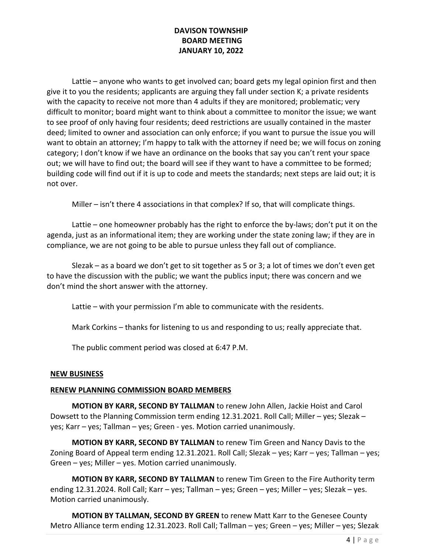Lattie – anyone who wants to get involved can; board gets my legal opinion first and then give it to you the residents; applicants are arguing they fall under section K; a private residents with the capacity to receive not more than 4 adults if they are monitored; problematic; very difficult to monitor; board might want to think about a committee to monitor the issue; we want to see proof of only having four residents; deed restrictions are usually contained in the master deed; limited to owner and association can only enforce; if you want to pursue the issue you will want to obtain an attorney; I'm happy to talk with the attorney if need be; we will focus on zoning category; I don't know if we have an ordinance on the books that say you can't rent your space out; we will have to find out; the board will see if they want to have a committee to be formed; building code will find out if it is up to code and meets the standards; next steps are laid out; it is not over.

Miller – isn't there 4 associations in that complex? If so, that will complicate things.

 Lattie – one homeowner probably has the right to enforce the by-laws; don't put it on the agenda, just as an informational item; they are working under the state zoning law; if they are in compliance, we are not going to be able to pursue unless they fall out of compliance.

 Slezak – as a board we don't get to sit together as 5 or 3; a lot of times we don't even get to have the discussion with the public; we want the publics input; there was concern and we don't mind the short answer with the attorney.

Lattie – with your permission I'm able to communicate with the residents.

Mark Corkins – thanks for listening to us and responding to us; really appreciate that.

The public comment period was closed at 6:47 P.M.

#### NEW BUSINESS

#### RENEW PLANNING COMMISSION BOARD MEMBERS

MOTION BY KARR, SECOND BY TALLMAN to renew John Allen, Jackie Hoist and Carol Dowsett to the Planning Commission term ending 12.31.2021. Roll Call; Miller – yes; Slezak – yes; Karr – yes; Tallman – yes; Green - yes. Motion carried unanimously.

 MOTION BY KARR, SECOND BY TALLMAN to renew Tim Green and Nancy Davis to the Zoning Board of Appeal term ending 12.31.2021. Roll Call; Slezak – yes; Karr – yes; Tallman – yes; Green – yes; Miller – yes. Motion carried unanimously.

 MOTION BY KARR, SECOND BY TALLMAN to renew Tim Green to the Fire Authority term ending 12.31.2024. Roll Call; Karr – yes; Tallman – yes; Green – yes; Miller – yes; Slezak – yes. Motion carried unanimously.

 MOTION BY TALLMAN, SECOND BY GREEN to renew Matt Karr to the Genesee County Metro Alliance term ending 12.31.2023. Roll Call; Tallman – yes; Green – yes; Miller – yes; Slezak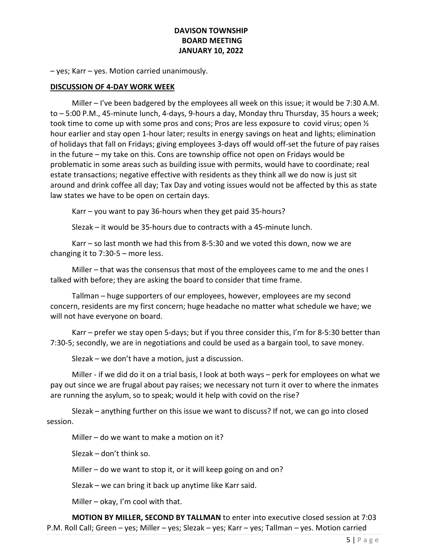– yes; Karr – yes. Motion carried unanimously.

### DISCUSSION OF 4-DAY WORK WEEK

 Miller – I've been badgered by the employees all week on this issue; it would be 7:30 A.M. to – 5:00 P.M., 45-minute lunch, 4-days, 9-hours a day, Monday thru Thursday, 35 hours a week; took time to come up with some pros and cons; Pros are less exposure to covid virus; open  $\frac{1}{2}$ hour earlier and stay open 1-hour later; results in energy savings on heat and lights; elimination of holidays that fall on Fridays; giving employees 3-days off would off-set the future of pay raises in the future – my take on this. Cons are township office not open on Fridays would be problematic in some areas such as building issue with permits, would have to coordinate; real estate transactions; negative effective with residents as they think all we do now is just sit around and drink coffee all day; Tax Day and voting issues would not be affected by this as state law states we have to be open on certain days.

Karr – you want to pay 36-hours when they get paid 35-hours?

Slezak – it would be 35-hours due to contracts with a 45-minute lunch.

 Karr – so last month we had this from 8-5:30 and we voted this down, now we are changing it to 7:30-5 – more less.

 Miller – that was the consensus that most of the employees came to me and the ones I talked with before; they are asking the board to consider that time frame.

 Tallman – huge supporters of our employees, however, employees are my second concern, residents are my first concern; huge headache no matter what schedule we have; we will not have everyone on board.

 Karr – prefer we stay open 5-days; but if you three consider this, I'm for 8-5:30 better than 7:30-5; secondly, we are in negotiations and could be used as a bargain tool, to save money.

Slezak – we don't have a motion, just a discussion.

 Miller - if we did do it on a trial basis, I look at both ways – perk for employees on what we pay out since we are frugal about pay raises; we necessary not turn it over to where the inmates are running the asylum, so to speak; would it help with covid on the rise?

 Slezak – anything further on this issue we want to discuss? If not, we can go into closed session.

Miller – do we want to make a motion on it?

Slezak – don't think so.

Miller – do we want to stop it, or it will keep going on and on?

Slezak – we can bring it back up anytime like Karr said.

Miller – okay, I'm cool with that.

MOTION BY MILLER, SECOND BY TALLMAN to enter into executive closed session at 7:03 P.M. Roll Call; Green – yes; Miller – yes; Slezak – yes; Karr – yes; Tallman – yes. Motion carried